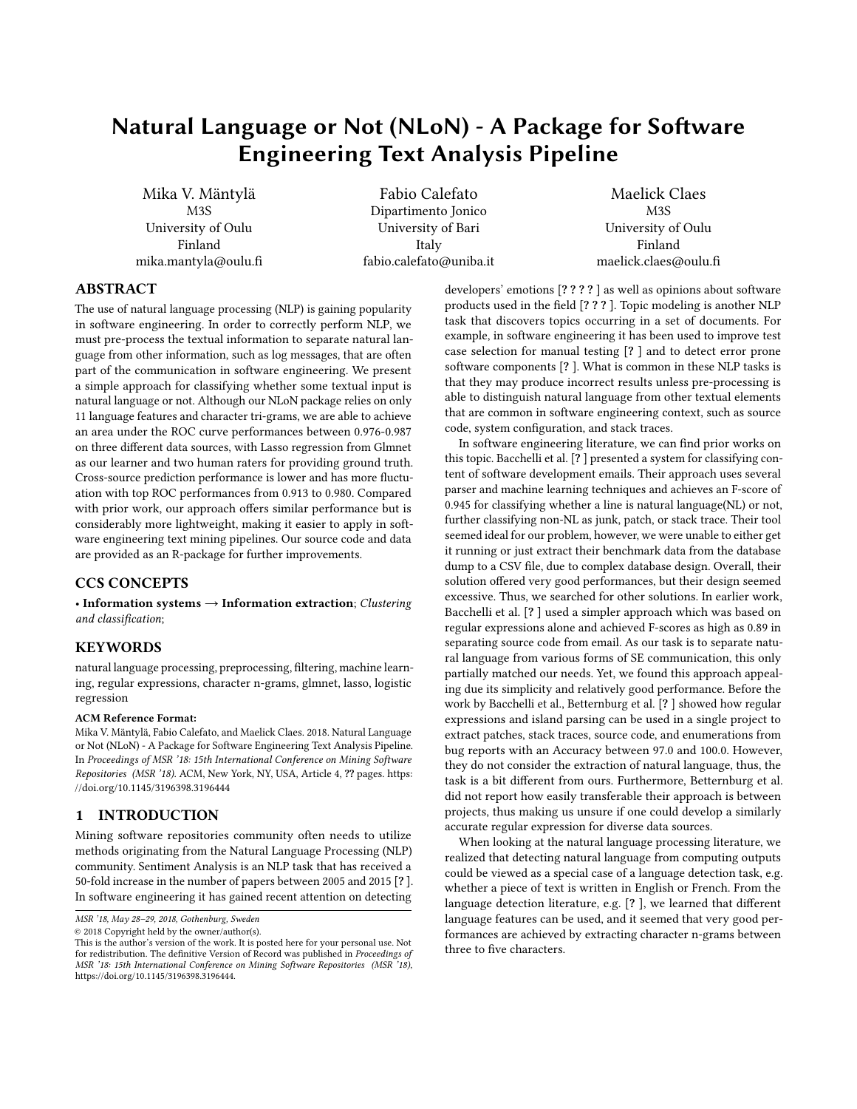# Natural Language or Not (NLoN) - A Package for Software Engineering Text Analysis Pipeline

Mika V. Mäntylä M3S University of Oulu Finland mika.mantyla@oulu.fi

Fabio Calefato Dipartimento Jonico University of Bari Italy fabio.calefato@uniba.it

Maelick Claes M3S University of Oulu Finland maelick.claes@oulu.fi

# ABSTRACT

The use of natural language processing (NLP) is gaining popularity in software engineering. In order to correctly perform NLP, we must pre-process the textual information to separate natural language from other information, such as log messages, that are often part of the communication in software engineering. We present a simple approach for classifying whether some textual input is natural language or not. Although our NLoN package relies on only 11 language features and character tri-grams, we are able to achieve an area under the ROC curve performances between 0.976-0.987 on three different data sources, with Lasso regression from Glmnet as our learner and two human raters for providing ground truth. Cross-source prediction performance is lower and has more fluctuation with top ROC performances from 0.913 to 0.980. Compared with prior work, our approach offers similar performance but is considerably more lightweight, making it easier to apply in software engineering text mining pipelines. Our source code and data are provided as an R-package for further improvements.

## CCS CONCEPTS

• Information systems  $\rightarrow$  Information extraction; Clustering and classification;

## **KEYWORDS**

natural language processing, preprocessing, filtering, machine learning, regular expressions, character n-grams, glmnet, lasso, logistic regression

#### ACM Reference Format:

Mika V. Mäntylä, Fabio Calefato, and Maelick Claes. 2018. Natural Language or Not (NLoN) - A Package for Software Engineering Text Analysis Pipeline. In Proceedings of MSR '18: 15th International Conference on Mining Software Repositories (MSR '18). ACM, New York, NY, USA, Article 4, ?? pages. [https:](https://doi.org/10.1145/3196398.3196444) [//doi.org/10.1145/3196398.3196444](https://doi.org/10.1145/3196398.3196444)

## 1 INTRODUCTION

Mining software repositories community often needs to utilize methods originating from the Natural Language Processing (NLP) community. Sentiment Analysis is an NLP task that has received a 50-fold increase in the number of papers between 2005 and 2015 [? ]. In software engineering it has gained recent attention on detecting

© 2018 Copyright held by the owner/author(s).

developers' emotions [? ? ? ? ] as well as opinions about software products used in the field [? ? ? ]. Topic modeling is another NLP task that discovers topics occurring in a set of documents. For example, in software engineering it has been used to improve test case selection for manual testing [? ] and to detect error prone software components [? ]. What is common in these NLP tasks is that they may produce incorrect results unless pre-processing is able to distinguish natural language from other textual elements that are common in software engineering context, such as source code, system configuration, and stack traces.

In software engineering literature, we can find prior works on this topic. Bacchelli et al. [? ] presented a system for classifying content of software development emails. Their approach uses several parser and machine learning techniques and achieves an F-score of 0.945 for classifying whether a line is natural language(NL) or not, further classifying non-NL as junk, patch, or stack trace. Their tool seemed ideal for our problem, however, we were unable to either get it running or just extract their benchmark data from the database dump to a CSV file, due to complex database design. Overall, their solution offered very good performances, but their design seemed excessive. Thus, we searched for other solutions. In earlier work, Bacchelli et al. [? ] used a simpler approach which was based on regular expressions alone and achieved F-scores as high as 0.89 in separating source code from email. As our task is to separate natural language from various forms of SE communication, this only partially matched our needs. Yet, we found this approach appealing due its simplicity and relatively good performance. Before the work by Bacchelli et al., Betternburg et al. [? ] showed how regular expressions and island parsing can be used in a single project to extract patches, stack traces, source code, and enumerations from bug reports with an Accuracy between 97.0 and 100.0. However, they do not consider the extraction of natural language, thus, the task is a bit different from ours. Furthermore, Betternburg et al. did not report how easily transferable their approach is between projects, thus making us unsure if one could develop a similarly accurate regular expression for diverse data sources.

When looking at the natural language processing literature, we realized that detecting natural language from computing outputs could be viewed as a special case of a language detection task, e.g. whether a piece of text is written in English or French. From the language detection literature, e.g. [? ], we learned that different language features can be used, and it seemed that very good performances are achieved by extracting character n-grams between three to five characters.

MSR '18, May 28–29, 2018, Gothenburg, Sweden

This is the author's version of the work. It is posted here for your personal use. Not for redistribution. The definitive Version of Record was published in Proceedings of MSR '18: 15th International Conference on Mining Software Repositories (MSR '18), [https://doi.org/10.1145/3196398.3196444.](https://doi.org/10.1145/3196398.3196444)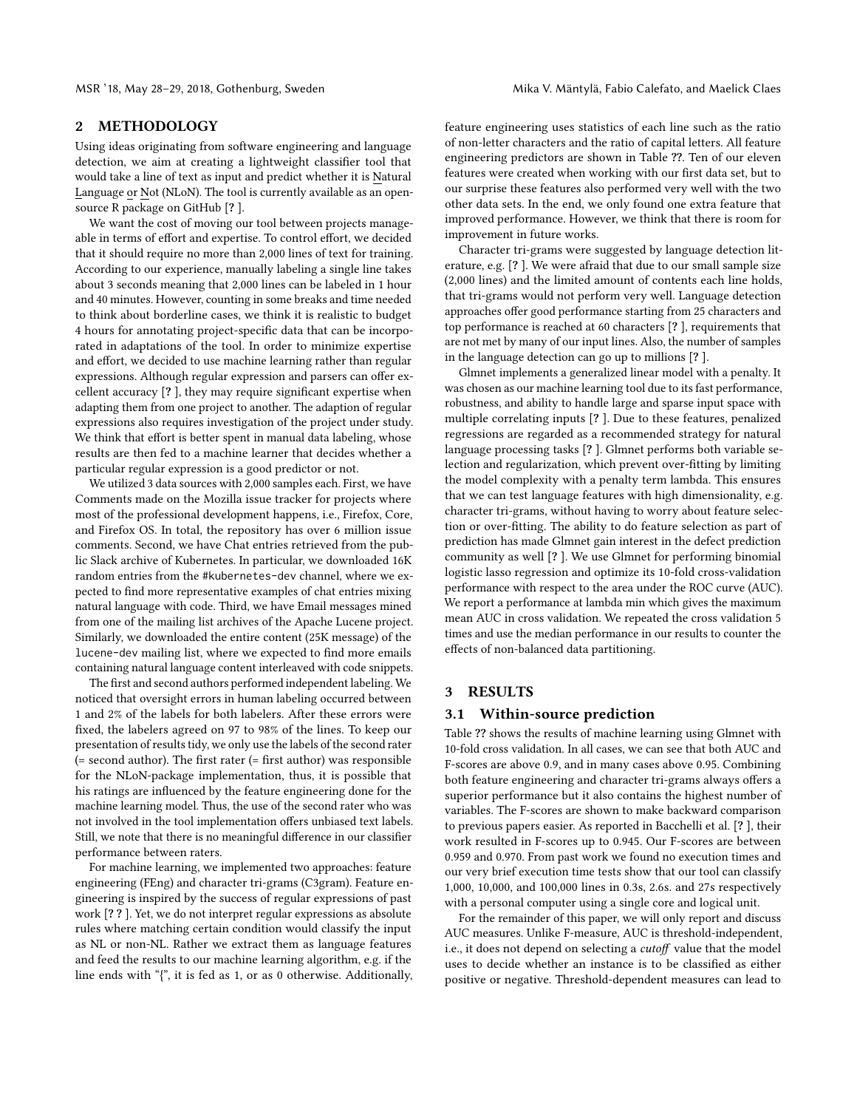# 2 METHODOLOGY

Using ideas originating from software engineering and language detection, we aim at creating a lightweight classifier tool that would take a line of text as input and predict whether it is Natural Language or Not (NLoN). The tool is currently available as an opensource R package on GitHub [? ].

We want the cost of moving our tool between projects manageable in terms of effort and expertise. To control effort, we decided that it should require no more than 2,000 lines of text for training. According to our experience, manually labeling a single line takes about 3 seconds meaning that 2,000 lines can be labeled in 1 hour and 40 minutes. However, counting in some breaks and time needed to think about borderline cases, we think it is realistic to budget 4 hours for annotating project-specific data that can be incorporated in adaptations of the tool. In order to minimize expertise and effort, we decided to use machine learning rather than regular expressions. Although regular expression and parsers can offer excellent accuracy [? ], they may require significant expertise when adapting them from one project to another. The adaption of regular expressions also requires investigation of the project under study. We think that effort is better spent in manual data labeling, whose results are then fed to a machine learner that decides whether a particular regular expression is a good predictor or not.

We utilized 3 data sources with 2,000 samples each. First, we have Comments made on the Mozilla issue tracker for projects where most of the professional development happens, i.e., Firefox, Core, and Firefox OS. In total, the repository has over 6 million issue comments. Second, we have Chat entries retrieved from the public Slack archive of Kubernetes. In particular, we downloaded 16K random entries from the #kubernetes-dev channel, where we expected to find more representative examples of chat entries mixing natural language with code. Third, we have Email messages mined from one of the mailing list archives of the Apache Lucene project. Similarly, we downloaded the entire content (25K message) of the lucene-dev mailing list, where we expected to find more emails containing natural language content interleaved with code snippets.

The first and second authors performed independent labeling. We noticed that oversight errors in human labeling occurred between 1 and 2% of the labels for both labelers. After these errors were fixed, the labelers agreed on 97 to 98% of the lines. To keep our presentation of results tidy, we only use the labels of the second rater (= second author). The first rater (= first author) was responsible for the NLoN-package implementation, thus, it is possible that his ratings are influenced by the feature engineering done for the machine learning model. Thus, the use of the second rater who was not involved in the tool implementation offers unbiased text labels. Still, we note that there is no meaningful difference in our classifier performance between raters.

For machine learning, we implemented two approaches: feature engineering (FEng) and character tri-grams (C3gram). Feature engineering is inspired by the success of regular expressions of past work [? ? ]. Yet, we do not interpret regular expressions as absolute rules where matching certain condition would classify the input as NL or non-NL. Rather we extract them as language features and feed the results to our machine learning algorithm, e.g. if the line ends with "{", it is fed as 1, or as 0 otherwise. Additionally, feature engineering uses statistics of each line such as the ratio of non-letter characters and the ratio of capital letters. All feature engineering predictors are shown in Table ??. Ten of our eleven features were created when working with our first data set, but to our surprise these features also performed very well with the two other data sets. In the end, we only found one extra feature that improved performance. However, we think that there is room for improvement in future works.

Character tri-grams were suggested by language detection literature, e.g. [? ]. We were afraid that due to our small sample size (2,000 lines) and the limited amount of contents each line holds, that tri-grams would not perform very well. Language detection approaches offer good performance starting from 25 characters and top performance is reached at 60 characters [? ], requirements that are not met by many of our input lines. Also, the number of samples in the language detection can go up to millions [? ].

Glmnet implements a generalized linear model with a penalty. It was chosen as our machine learning tool due to its fast performance, robustness, and ability to handle large and sparse input space with multiple correlating inputs [? ]. Due to these features, penalized regressions are regarded as a recommended strategy for natural language processing tasks [? ]. Glmnet performs both variable selection and regularization, which prevent over-fitting by limiting the model complexity with a penalty term lambda. This ensures that we can test language features with high dimensionality, e.g. character tri-grams, without having to worry about feature selection or over-fitting. The ability to do feature selection as part of prediction has made Glmnet gain interest in the defect prediction community as well [? ]. We use Glmnet for performing binomial logistic lasso regression and optimize its 10-fold cross-validation performance with respect to the area under the ROC curve (AUC). We report a performance at lambda min which gives the maximum mean AUC in cross validation. We repeated the cross validation 5 times and use the median performance in our results to counter the effects of non-balanced data partitioning.

# 3 RESULTS

#### 3.1 Within-source prediction

Table ?? shows the results of machine learning using Glmnet with 10-fold cross validation. In all cases, we can see that both AUC and F-scores are above 0.9, and in many cases above 0.95. Combining both feature engineering and character tri-grams always offers a superior performance but it also contains the highest number of variables. The F-scores are shown to make backward comparison to previous papers easier. As reported in Bacchelli et al. [? ], their work resulted in F-scores up to 0.945. Our F-scores are between 0.959 and 0.970. From past work we found no execution times and our very brief execution time tests show that our tool can classify 1,000, 10,000, and 100,000 lines in 0.3s, 2.6s. and 27s respectively with a personal computer using a single core and logical unit.

For the remainder of this paper, we will only report and discuss AUC measures. Unlike F-measure, AUC is threshold-independent, i.e., it does not depend on selecting a cutoff value that the model uses to decide whether an instance is to be classified as either positive or negative. Threshold-dependent measures can lead to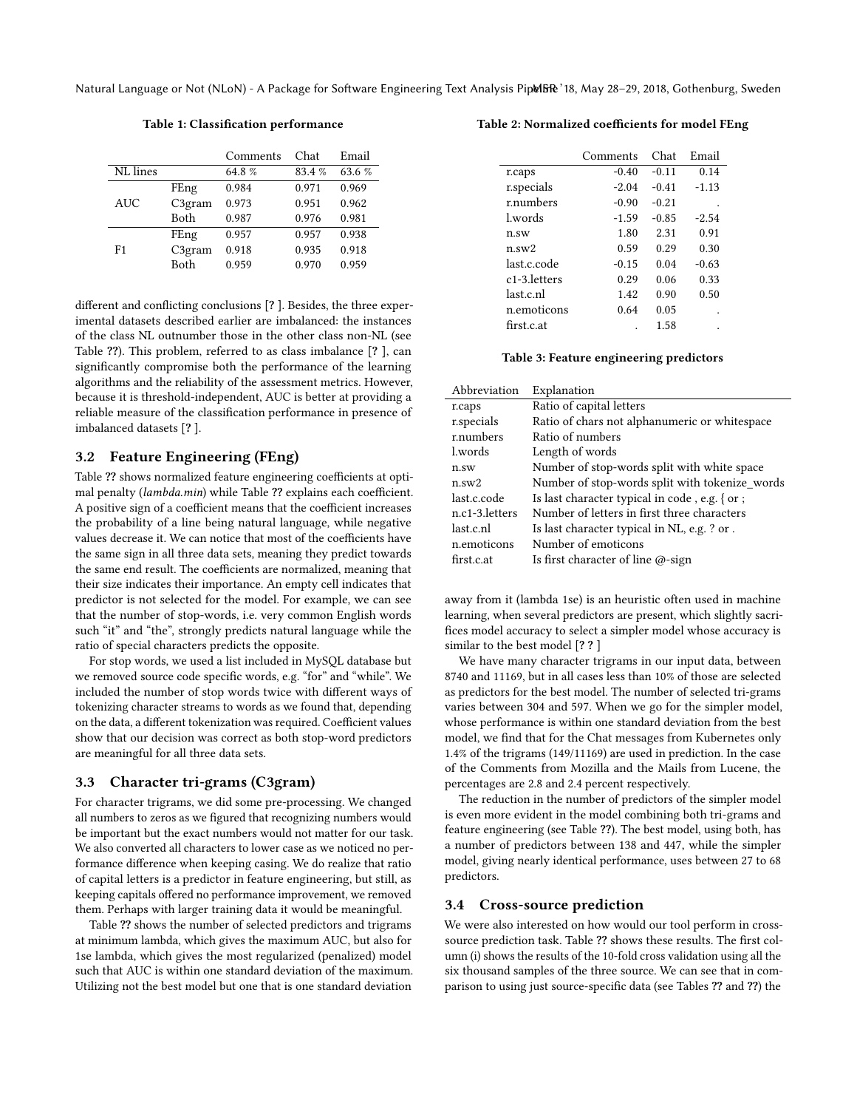Natural Language or Not (NLoN) - A Package for Software Engineering Text Analysis PipelBR '18, May 28-29, 2018, Gothenburg, Sweden

Table 1: Classification performance

|            |                    | Comments | Chat   | Email  |
|------------|--------------------|----------|--------|--------|
| NL lines   |                    | 64.8%    | 83.4 % | 63.6 % |
| <b>AUC</b> | FEng               | 0.984    | 0.971  | 0.969  |
|            | C3 <sub>gram</sub> | 0.973    | 0.951  | 0.962  |
|            | <b>Both</b>        | 0.987    | 0.976  | 0.981  |
| F1         | FEng               | 0.957    | 0.957  | 0.938  |
|            | C3 <sub>gram</sub> | 0.918    | 0.935  | 0.918  |
|            | Both               | 0.959    | 0.970  | 0.959  |

different and conflicting conclusions [? ]. Besides, the three experimental datasets described earlier are imbalanced: the instances of the class NL outnumber those in the other class non-NL (see Table ??). This problem, referred to as class imbalance [? ], can significantly compromise both the performance of the learning algorithms and the reliability of the assessment metrics. However, because it is threshold-independent, AUC is better at providing a reliable measure of the classification performance in presence of imbalanced datasets [? ].

## 3.2 Feature Engineering (FEng)

Table ?? shows normalized feature engineering coefficients at optimal penalty (lambda.min) while Table ?? explains each coefficient. A positive sign of a coefficient means that the coefficient increases the probability of a line being natural language, while negative values decrease it. We can notice that most of the coefficients have the same sign in all three data sets, meaning they predict towards the same end result. The coefficients are normalized, meaning that their size indicates their importance. An empty cell indicates that predictor is not selected for the model. For example, we can see that the number of stop-words, i.e. very common English words such "it" and "the", strongly predicts natural language while the ratio of special characters predicts the opposite.

For stop words, we used a list included in MySQL database but we removed source code specific words, e.g. "for" and "while". We included the number of stop words twice with different ways of tokenizing character streams to words as we found that, depending on the data, a different tokenization was required. Coefficient values show that our decision was correct as both stop-word predictors are meaningful for all three data sets.

#### 3.3 Character tri-grams (C3gram)

For character trigrams, we did some pre-processing. We changed all numbers to zeros as we figured that recognizing numbers would be important but the exact numbers would not matter for our task. We also converted all characters to lower case as we noticed no performance difference when keeping casing. We do realize that ratio of capital letters is a predictor in feature engineering, but still, as keeping capitals offered no performance improvement, we removed them. Perhaps with larger training data it would be meaningful.

Table ?? shows the number of selected predictors and trigrams at minimum lambda, which gives the maximum AUC, but also for 1se lambda, which gives the most regularized (penalized) model such that AUC is within one standard deviation of the maximum. Utilizing not the best model but one that is one standard deviation

#### Table 2: Normalized coefficients for model FEng

|              | Comments | Chat    | Email   |
|--------------|----------|---------|---------|
| r.caps       | $-0.40$  | $-0.11$ | 0.14    |
| r.specials   | $-2.04$  | $-0.41$ | $-1.13$ |
| r.numbers    | $-0.90$  | $-0.21$ |         |
| l.words      | $-1.59$  | $-0.85$ | $-2.54$ |
| $n$ .sw      | 1.80     | 2.31    | 0.91    |
| $n$ .sw $2$  | 0.59     | 0.29    | 0.30    |
| last.c.code  | $-0.15$  | 0.04    | $-0.63$ |
| c1-3.letters | 0.29     | 0.06    | 0.33    |
| last.c.nl    | 1.42     | 0.90    | 0.50    |
| n.emoticons  | 0.64     | 0.05    |         |
| first.c.at   |          | 1.58    |         |
|              |          |         |         |

#### Table 3: Feature engineering predictors

| Explanation                                    |
|------------------------------------------------|
| Ratio of capital letters                       |
| Ratio of chars not alphanumeric or whitespace  |
| Ratio of numbers                               |
| Length of words                                |
| Number of stop-words split with white space    |
| Number of stop-words split with tokenize words |
| Is last character typical in code, e.g. { or ; |
| Number of letters in first three characters    |
| Is last character typical in NL, e.g. ? or.    |
| Number of emoticons                            |
| Is first character of line $\omega$ -sign      |
|                                                |

away from it (lambda 1se) is an heuristic often used in machine learning, when several predictors are present, which slightly sacrifices model accuracy to select a simpler model whose accuracy is similar to the best model [? ? ]

We have many character trigrams in our input data, between 8740 and 11169, but in all cases less than 10% of those are selected as predictors for the best model. The number of selected tri-grams varies between 304 and 597. When we go for the simpler model, whose performance is within one standard deviation from the best model, we find that for the Chat messages from Kubernetes only 1.4% of the trigrams (149/11169) are used in prediction. In the case of the Comments from Mozilla and the Mails from Lucene, the percentages are 2.8 and 2.4 percent respectively.

The reduction in the number of predictors of the simpler model is even more evident in the model combining both tri-grams and feature engineering (see Table ??). The best model, using both, has a number of predictors between 138 and 447, while the simpler model, giving nearly identical performance, uses between 27 to 68 predictors.

#### 3.4 Cross-source prediction

We were also interested on how would our tool perform in crosssource prediction task. Table ?? shows these results. The first column (i) shows the results of the 10-fold cross validation using all the six thousand samples of the three source. We can see that in comparison to using just source-specific data (see Tables ?? and ??) the